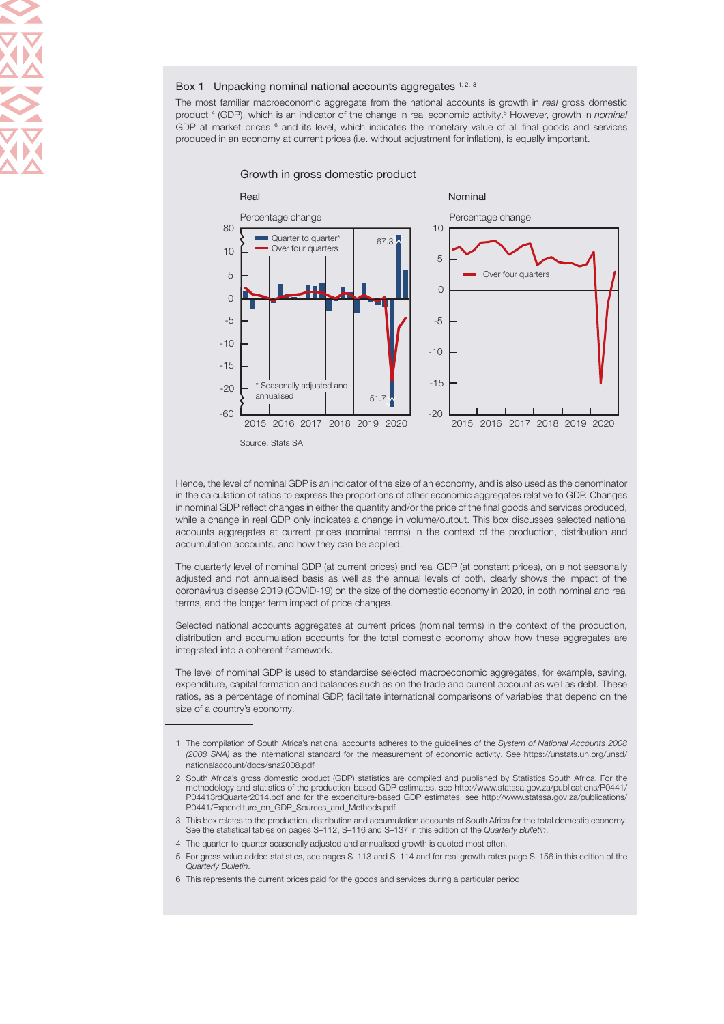#### Box 1 Unpacking nominal national accounts aggregates  $1, 2, 3$

The most familiar macroeconomic aggregate from the national accounts is growth in real gross domestic product <sup>4</sup> (GDP), which is an indicator of the change in real economic activity.<sup>5</sup> However, growth in *nominal* GDP at market prices  $6$  and its level, which indicates the monetary value of all final goods and services produced in an economy at current prices (i.e. without adjustment for inflation), is equally important.

Growth in gross domestic product



Hence, the level of nominal GDP is an indicator of the size of an economy, and is also used as the denominator in the calculation of ratios to express the proportions of other economic aggregates relative to GDP. Changes in nominal GDP reflect changes in either the quantity and/or the price of the final goods and services produced, while a change in real GDP only indicates a change in volume/output. This box discusses selected national accounts aggregates at current prices (nominal terms) in the context of the production, distribution and accumulation accounts, and how they can be applied.

The quarterly level of nominal GDP (at current prices) and real GDP (at constant prices), on a not seasonally adjusted and not annualised basis as well as the annual levels of both, clearly shows the impact of the coronavirus disease 2019 (COVID-19) on the size of the domestic economy in 2020, in both nominal and real terms, and the longer term impact of price changes.

Selected national accounts aggregates at current prices (nominal terms) in the context of the production, distribution and accumulation accounts for the total domestic economy show how these aggregates are integrated into a coherent framework.

The level of nominal GDP is used to standardise selected macroeconomic aggregates, for example, saving, expenditure, capital formation and balances such as on the trade and current account as well as debt. These ratios, as a percentage of nominal GDP, facilitate international comparisons of variables that depend on the size of a country's economy.

- 3 This box relates to the production, distribution and accumulation accounts of South Africa for the total domestic economy. See the statistical tables on pages S–112, S–116 and S–137 in this edition of the Quarterly Bulletin.
- 4 The quarter-to-quarter seasonally adjusted and annualised growth is quoted most often.
- 5 For gross value added statistics, see pages S–113 and S–114 and for real growth rates page S–156 in this edition of the Quarterly Bulletin.
- 6 This represents the current prices paid for the goods and services during a particular period.

<sup>1</sup> The compilation of South Africa's national accounts adheres to the guidelines of the System of National Accounts 2008 (2008 SNA) as the international standard for the measurement of economic activity. [See https://unstats.un.org/unsd/](https://unstats.un.org/unsd/nationalaccount/docs/sna2008.pdf) [nationalaccount/docs/sna2008.pdf](https://unstats.un.org/unsd/nationalaccount/docs/sna2008.pdf)

<sup>2</sup> South Africa's gross domestic product (GDP) statistics are compiled and published by Statistics South Africa. For the methodology and statistics of the production-based GDP estimates, see [http://www.statssa.gov.za/publications/P0441/](http://www.statssa.gov.za/publications/P0441/P04413rdQuarter2014.pdf) [P04413rdQuarter2014.pdf](http://www.statssa.gov.za/publications/P0441/P04413rdQuarter2014.pdf) and for the expenditure-based GDP estimates, see [http://www.statssa.gov.za/publications/](http://www.statssa.gov.za/publications/P0441/Expenditure_on_GDP_Sources_and_Methods.pdf) [P0441/Expenditure\\_on\\_GDP\\_Sources\\_and\\_Methods.pdf](http://www.statssa.gov.za/publications/P0441/Expenditure_on_GDP_Sources_and_Methods.pdf)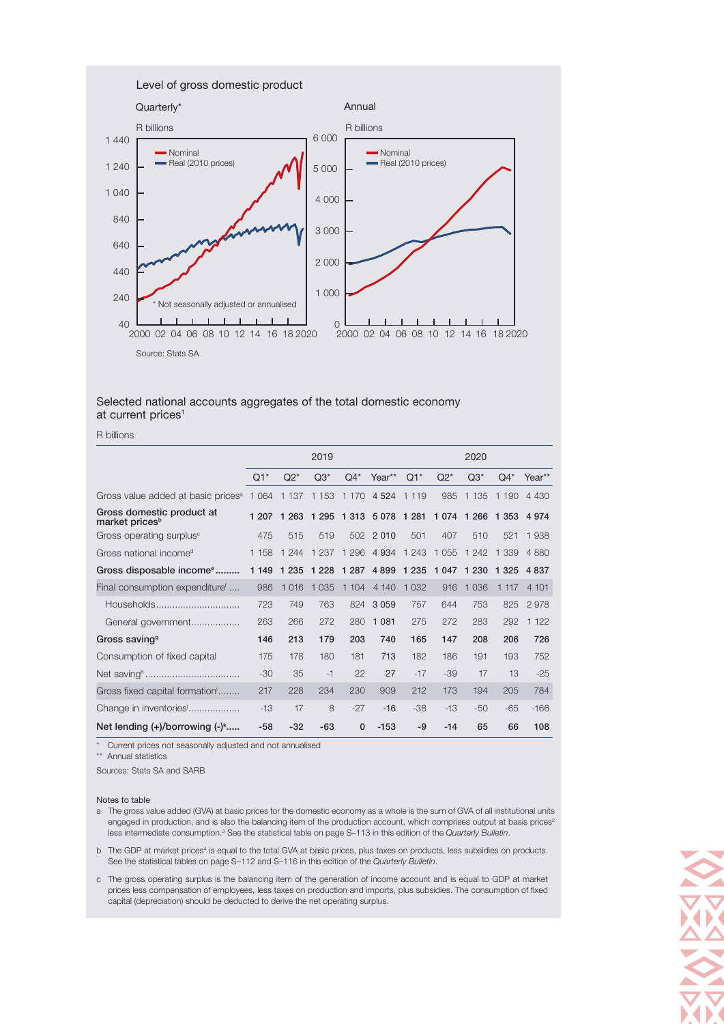

### Selected national accounts aggregates of the total domestic economy at current prices<sup>1</sup>

R billions

|                                                         | 2019    |         |                     |              |             | 2020    |         |         |         |         |
|---------------------------------------------------------|---------|---------|---------------------|--------------|-------------|---------|---------|---------|---------|---------|
|                                                         | $Q1^*$  | $Q2^*$  | $Q3*$               | $Q4*$        | Year**      | $Q1^*$  | $Q2^*$  | $Q3*$   | $Q4*$   | Year**  |
| Gross value added at basic prices <sup>a</sup>          | 1 0 6 4 | 1 1 3 7 | 1 1 5 3             | 1 1 7 0      | 4 5 24      | 1 1 1 9 | 985     | 1 1 3 5 | 1 1 9 0 | 4 4 3 0 |
| Gross domestic product at<br>market prices <sup>b</sup> | 1 207   | 1 2 6 3 | 1 2 9 5             |              | 1 313 5 078 | 1 2 8 1 | 1 0 7 4 | 1 2 6 6 | 1 3 5 3 | 4 9 7 4 |
| Gross operating surplus <sup>c</sup>                    | 475     | 515     | 519                 |              | 502 2010    | 501     | 407     | 510     | 521     | 1 938   |
| Gross national income <sup>d</sup>                      | 1 1 5 8 | 1 2 4 4 | 1 2 3 7             | 1 2 9 6      | 4 9 3 4     | 1 2 4 3 | 1 0 5 5 | 1 2 4 2 | 1 339   | 4 8 8 0 |
| Gross disposable income <sup>e</sup>                    | 1 1 4 9 | 1 2 3 5 | 1 2 2 8             |              | 1 287 4 899 | 1 2 3 5 | 1 0 4 7 | 1 2 3 0 | 1 3 2 5 | 4 8 3 7 |
| Final consumption expenditure <sup>f</sup>              | 986     | 1 0 1 6 | 035<br>$\mathbf{1}$ | 1 104        | 4 140       | 1 0 3 2 | 916     | 1 0 3 6 | 1 1 1 7 | 4 101   |
| Households                                              | 723     | 749     | 763                 | 824          | 3 0 5 9     | 757     | 644     | 753     | 825     | 2978    |
| General government                                      | 263     | 266     | 272                 | 280          | 1 0 8 1     | 275     | 272     | 283     | 292     | 1 1 2 2 |
| Gross saving <sup>9</sup>                               | 146     | 213     | 179                 | 203          | 740         | 165     | 147     | 208     | 206     | 726     |
| Consumption of fixed capital                            | 175     | 178     | 180                 | 181          | 713         | 182     | 186     | 191     | 193     | 752     |
|                                                         | $-30$   | 35      | $-1$                | 22           | 27          | $-17$   | $-39$   | 17      | 13      | $-25$   |
| Gross fixed capital formation                           | 217     | 228     | 234                 | 230          | 909         | 212     | 173     | 194     | 205     | 784     |
| Change in inventories                                   | $-13$   | 17      | 8                   | $-27$        | $-16$       | $-38$   | $-13$   | $-50$   | $-65$   | $-166$  |
| Net lending $(+)/$ borrowing $(-)^{k}$                  | $-58$   | $-32$   | $-63$               | $\mathbf{0}$ | $-153$      | $-9$    | $-14$   | 65      | 66      | 108     |

\* Current prices not seasonally adjusted and not annualised

\*\* Annual statistics

Sources: Stats SA and SARB

#### Notes to table

- a The gross value added (GVA) at basic prices for the domestic economy as a whole is the sum of GVA of all institutional units engaged in production, and is also the balancing item of the production account, which comprises output at basis prices<sup>2</sup> less intermediate consumption.<sup>3</sup> See the statistical table on page S-113 in this edition of the Quarterly Bulletin.
- b The GDP at market prices<sup>4</sup> is equal to the total GVA at basic prices, plus taxes on products, less subsidies on products. See the statistical tables on page S-112 and S-116 in this edition of the Quarterly Bulletin.
- c The gross operating surplus is the balancing item of the generation of income account and is equal to GDP at market prices less compensation of employees, less taxes on production and imports, plus subsidies. The consumption of fixed capital (depreciation) should be deducted to derive the net operating surplus.

O MARIN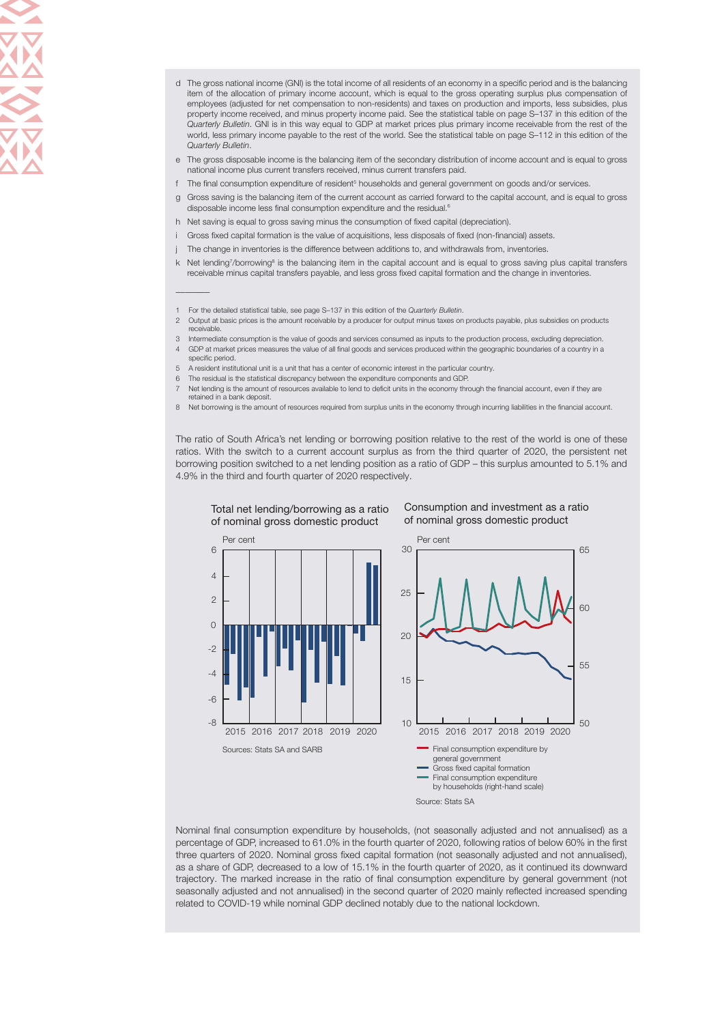- d The gross national income (GNI) is the total income of all residents of an economy in a specific period and is the balancing item of the allocation of primary income account, which is equal to the gross operating surplus plus compensation of employees (adjusted for net compensation to non-residents) and taxes on production and imports, less subsidies, plus property income received, and minus property income paid. See the statistical table on page S–137 in this edition of the Quarterly Bulletin. GNI is in this way equal to GDP at market prices plus primary income receivable from the rest of the world, less primary income payable to the rest of the world. See the statistical table on page S–112 in this edition of the Quarterly Bulletin.
- e The gross disposable income is the balancing item of the secondary distribution of income account and is equal to gross national income plus current transfers received, minus current transfers paid.
- f The final consumption expenditure of resident<sup>5</sup> households and general government on goods and/or services.
- g Gross saving is the balancing item of the current account as carried forward to the capital account, and is equal to gross disposable income less final consumption expenditure and the residual.<sup>6</sup>
- h Net saving is equal to gross saving minus the consumption of fixed capital (depreciation).
- i Gross fixed capital formation is the value of acquisitions, less disposals of fixed (non-financial) assets.
- The change in inventories is the difference between additions to, and withdrawals from, inventories.
- k Net lending7/borrowing<sup>8</sup> is the balancing item in the capital account and is equal to gross saving plus capital transfers receivable minus capital transfers payable, and less gross fixed capital formation and the change in inventories.
- 1 For the detailed statistical table, see page S-137 in this edition of the Quarterly Bulletin.

 $\mathcal{L}$ 

- 2 Output at basic prices is the amount receivable by a producer for output minus taxes on products payable, plus subsidies on products receivable.
- 3 Intermediate consumption is the value of goods and services consumed as inputs to the production process, excluding depreciation. 4 GDP at market prices measures the value of all final goods and services produced within the geographic boundaries of a country in a specific period.
- 5 A resident institutional unit is a unit that has a center of economic interest in the particular country.
- The residual is the statistical discrepancy between the expenditure components and GDP.
- Net lending is the amount of resources available to lend to deficit units in the economy through the financial account, even if they are retained in a bank deposit.
- 8 Net borrowing is the amount of resources required from surplus units in the economy through incurring liabilities in the financial account.

The ratio of South Africa's net lending or borrowing position relative to the rest of the world is one of these ratios. With the switch to a current account surplus as from the third quarter of 2020, the persistent net borrowing position switched to a net lending position as a ratio of GDP – this surplus amounted to 5.1% and 4.9% in the third and fourth quarter of 2020 respectively.



Nominal final consumption expenditure by households, (not seasonally adjusted and not annualised) as a percentage of GDP, increased to 61.0% in the fourth quarter of 2020, following ratios of below 60% in the first three quarters of 2020. Nominal gross fixed capital formation (not seasonally adjusted and not annualised), as a share of GDP, decreased to a low of 15.1% in the fourth quarter of 2020, as it continued its downward trajectory. The marked increase in the ratio of final consumption expenditure by general government (not seasonally adjusted and not annualised) in the second quarter of 2020 mainly reflected increased spending related to COVID-19 while nominal GDP declined notably due to the national lockdown.

Total net lending/borrowing as a ratio of nominal gross domestic product

#### Consumption and investment as a ratio of nominal gross domestic product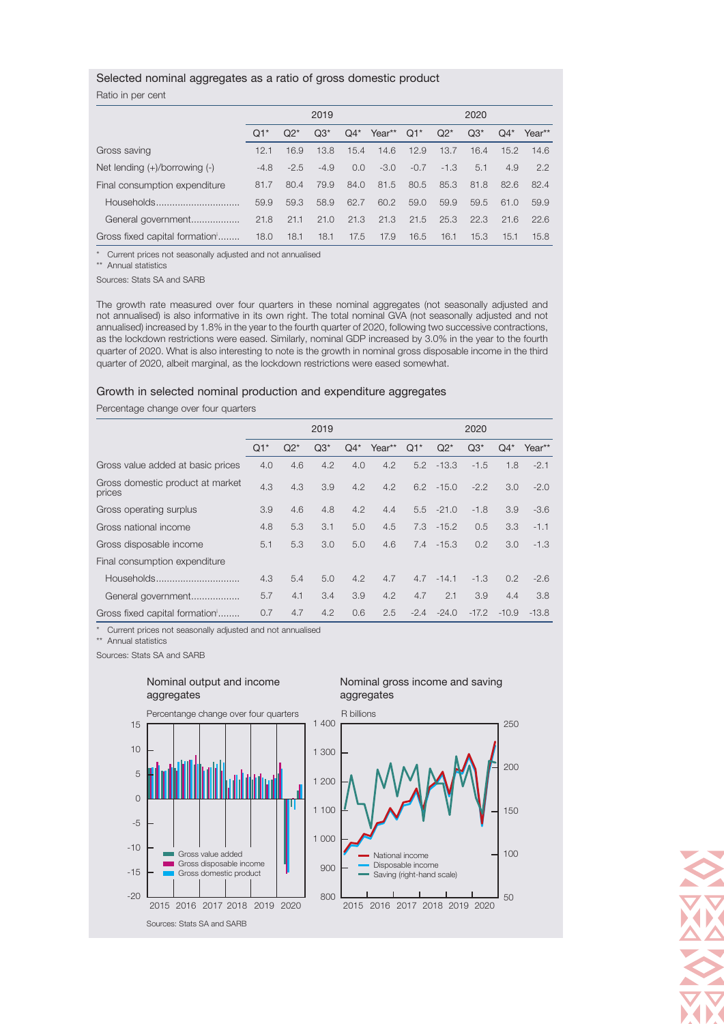# Selected nominal aggregates as a ratio of gross domestic product

## Ratio in per cent

|                                    | 2019   |        |        |        |        | 2020   |        |       |       |        |  |
|------------------------------------|--------|--------|--------|--------|--------|--------|--------|-------|-------|--------|--|
|                                    | $Q1^*$ | $Q2^*$ | $Q3^*$ | $Q4^*$ | Year** | $Q1*$  | $Q2^*$ | $Q3*$ | $Q4*$ | Year** |  |
| Gross saving                       | 12.1   | 16.9   | 13.8   | 15.4   | 14.6   | 12.9   | 13.7   | 16.4  | 15.2  | 14.6   |  |
| Net lending $(+)/$ borrowing $(-)$ | $-4.8$ | $-2.5$ | $-4.9$ | 0.0    | $-3.0$ | $-0.7$ | $-1.3$ | 5.1   | 4.9   | 2.2    |  |
| Final consumption expenditure      | 81.7   | 80.4   | 79.9   | 84.0   | 81.5   | 80.5   | 85.3   | 81.8  | 82.6  | 82.4   |  |
| Households                         | 59.9   | 59.3   | 58.9   | 62.7   | 60.2   | 59.0   | 59.9   | 59.5  | 61.0  | 59.9   |  |
| General government                 | 21.8   | 21.1   | 21.0   | 21.3   | 21.3   | 21.5   | 25.3   | 22.3  | 21.6  | 226    |  |
| Gross fixed capital formation      | 18.0   | 18.1   | 18.1   | 17.5   | 17.9   | 16.5   | 16.1   | 15.3  | 15.1  | 15.8   |  |

\* Current prices not seasonally adjusted and not annualised

\*\* Annual statistics

Sources: Stats SA and SARB

The growth rate measured over four quarters in these nominal aggregates (not seasonally adjusted and not annualised) is also informative in its own right. The total nominal GVA (not seasonally adjusted and not annualised) increased by 1.8% in the year to the fourth quarter of 2020, following two successive contractions, as the lockdown restrictions were eased. Similarly, nominal GDP increased by 3.0% in the year to the fourth quarter of 2020. What is also interesting to note is the growth in nominal gross disposable income in the third quarter of 2020, albeit marginal, as the lockdown restrictions were eased somewhat.

#### Growth in selected nominal production and expenditure aggregates

Percentage change over four quarters

|                                            | 2019   |        |       |       |        | 2020   |              |         |         |         |  |
|--------------------------------------------|--------|--------|-------|-------|--------|--------|--------------|---------|---------|---------|--|
|                                            | $Q1^*$ | $Q2^*$ | $Q3*$ | $Q4*$ | Year** | $Q1^*$ | $Q2*$        | $Q3*$   | $Q4*$   | Year**  |  |
| Gross value added at basic prices          | 4.0    | 4.6    | 4.2   | 4.0   | 4.2    | 5.2    | $-13.3$      | $-1.5$  | 1.8     | $-2.1$  |  |
| Gross domestic product at market<br>prices | 4.3    | 4.3    | 3.9   | 4.2   | 4.2    |        | $6.2 - 15.0$ | $-2.2$  | 3.0     | $-2.0$  |  |
| Gross operating surplus                    | 3.9    | 4.6    | 4.8   | 4.2   | 4.4    |        | $5.5 - 21.0$ | $-1.8$  | 3.9     | $-3.6$  |  |
| Gross national income                      | 4.8    | 5.3    | 3.1   | 5.0   | 4.5    |        | $7.3 - 15.2$ | 0.5     | 3.3     | $-1.1$  |  |
| Gross disposable income                    | 5.1    | 5.3    | 3.0   | 5.0   | 4.6    | 7.4    | $-15.3$      | 0.2     | 3.0     | $-1.3$  |  |
| Final consumption expenditure              |        |        |       |       |        |        |              |         |         |         |  |
| Households                                 | 4.3    | 5.4    | 5.0   | 4.2   | 4.7    | 4.7    | $-14.1$      | $-1.3$  | 0.2     | $-2.6$  |  |
| General government                         | 5.7    | 4.1    | 3.4   | 3.9   | 4.2    | 4.7    | 2.1          | 3.9     | 4.4     | 3.8     |  |
| Gross fixed capital formation              | 0.7    | 4.7    | 4.2   | 0.6   | 2.5    | $-2.4$ | $-24.0$      | $-17.2$ | $-10.9$ | $-13.8$ |  |

\* Current prices not seasonally adjusted and not annualised

Nominal output and income

\*\* Annual statistics

Sources: Stats SA and SARB



#### Nominal gross income and saving aggregates